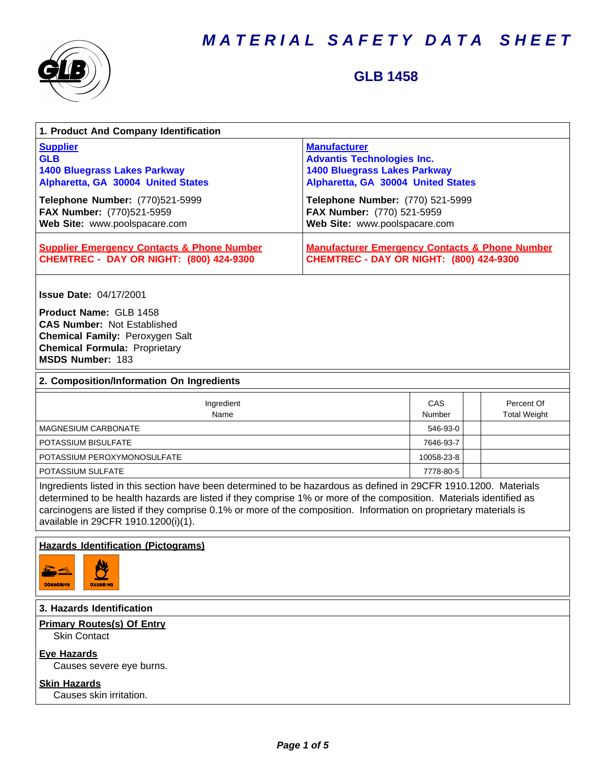

### **GLB 1458**

| 1. Product And Company Identification                                                                                                                                                                                                                                                                                                                                                             |                                                                                                                                       |               |  |                                   |
|---------------------------------------------------------------------------------------------------------------------------------------------------------------------------------------------------------------------------------------------------------------------------------------------------------------------------------------------------------------------------------------------------|---------------------------------------------------------------------------------------------------------------------------------------|---------------|--|-----------------------------------|
| <b>Supplier</b><br><b>GLB</b><br><b>1400 Bluegrass Lakes Parkway</b><br>Alpharetta, GA 30004 United States                                                                                                                                                                                                                                                                                        | <b>Manufacturer</b><br><b>Advantis Technologies Inc.</b><br><b>1400 Bluegrass Lakes Parkway</b><br>Alpharetta, GA 30004 United States |               |  |                                   |
| Telephone Number: (770)521-5999<br>FAX Number: (770)521-5959<br>Web Site: www.poolspacare.com                                                                                                                                                                                                                                                                                                     | Telephone Number: (770) 521-5999<br>FAX Number: (770) 521-5959<br>Web Site: www.poolspacare.com                                       |               |  |                                   |
| <b>Supplier Emergency Contacts &amp; Phone Number</b><br><b>CHEMTREC - DAY OR NIGHT: (800) 424-9300</b>                                                                                                                                                                                                                                                                                           | <b>Manufacturer Emergency Contacts &amp; Phone Number</b><br><b>CHEMTREC - DAY OR NIGHT: (800) 424-9300</b>                           |               |  |                                   |
| <b>Issue Date: 04/17/2001</b>                                                                                                                                                                                                                                                                                                                                                                     |                                                                                                                                       |               |  |                                   |
| Product Name: GLB 1458<br><b>CAS Number: Not Established</b><br>Chemical Family: Peroxygen Salt<br><b>Chemical Formula: Proprietary</b><br>MSDS Number: 183                                                                                                                                                                                                                                       |                                                                                                                                       |               |  |                                   |
| 2. Composition/Information On Ingredients                                                                                                                                                                                                                                                                                                                                                         |                                                                                                                                       |               |  |                                   |
| Ingredient<br>Name                                                                                                                                                                                                                                                                                                                                                                                |                                                                                                                                       | CAS<br>Number |  | Percent Of<br><b>Total Weight</b> |
| <b>MAGNESIUM CARBONATE</b>                                                                                                                                                                                                                                                                                                                                                                        |                                                                                                                                       | 546-93-0      |  |                                   |
| POTASSIUM BISULFATE                                                                                                                                                                                                                                                                                                                                                                               |                                                                                                                                       | 7646-93-7     |  |                                   |
| POTASSIUM PEROXYMONOSULFATE                                                                                                                                                                                                                                                                                                                                                                       |                                                                                                                                       | 10058-23-8    |  |                                   |
| POTASSIUM SULFATE                                                                                                                                                                                                                                                                                                                                                                                 |                                                                                                                                       |               |  |                                   |
| Ingredients listed in this section have been determined to be hazardous as defined in 29CFR 1910.1200. Materials<br>determined to be health hazards are listed if they comprise 1% or more of the composition. Materials identified as<br>carcinogens are listed if they comprise 0.1% or more of the composition. Information on proprietary materials is<br>available in 29CFR 1910.1200(i)(1). |                                                                                                                                       |               |  |                                   |
| <b>Hazards Identification (Pictograms)</b><br>AL.<br>P<br><b>CORROBIVE</b><br><b>DXIDIBING</b>                                                                                                                                                                                                                                                                                                    |                                                                                                                                       |               |  |                                   |
| 3. Hazards Identification                                                                                                                                                                                                                                                                                                                                                                         |                                                                                                                                       |               |  |                                   |
| <b>Primary Routes(s) Of Entry</b><br><b>Skin Contact</b>                                                                                                                                                                                                                                                                                                                                          |                                                                                                                                       |               |  |                                   |
| <b>Eve Hazards</b><br>Causes severe eye burns.                                                                                                                                                                                                                                                                                                                                                    |                                                                                                                                       |               |  |                                   |
| <b>Skin Hazards</b><br>Causes skin irritation.                                                                                                                                                                                                                                                                                                                                                    |                                                                                                                                       |               |  |                                   |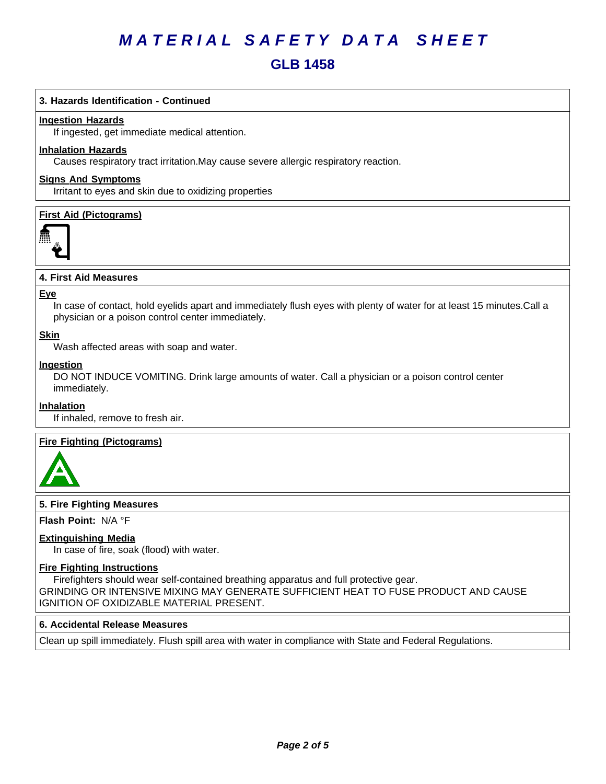### **GLB 1458**

#### **3. Hazards Identification - Continued**

#### **Ingestion Hazards**

If ingested, get immediate medical attention.

#### **Inhalation Hazards**

Causes respiratory tract irritation.May cause severe allergic respiratory reaction.

#### **Signs And Symptoms**

Irritant to eyes and skin due to oxidizing properties

#### **First Aid (Pictograms)**



#### **4. First Aid Measures**

#### **Eye**

In case of contact, hold eyelids apart and immediately flush eyes with plenty of water for at least 15 minutes.Call a physician or a poison control center immediately.

#### **Skin**

Wash affected areas with soap and water.

#### **Ingestion**

DO NOT INDUCE VOMITING. Drink large amounts of water. Call a physician or a poison control center immediately.

#### **Inhalation**

If inhaled, remove to fresh air.

#### **Fire Fighting (Pictograms)**



#### **5. Fire Fighting Measures**

**Flash Point:** N/A°F

#### **Extinguishing Media**

In case of fire, soak (flood) with water.

#### **Fire Fighting Instructions**

Firefighters should wear self-contained breathing apparatus and full protective gear. GRINDING OR INTENSIVE MIXING MAY GENERATE SUFFICIENT HEAT TO FUSE PRODUCT AND CAUSE IGNITION OF OXIDIZABLE MATERIAL PRESENT.

#### **6.Accidental ReleaseMeasures**

Clean up spill immediately. Flush spill area with water in compliance with State and Federal Regulations.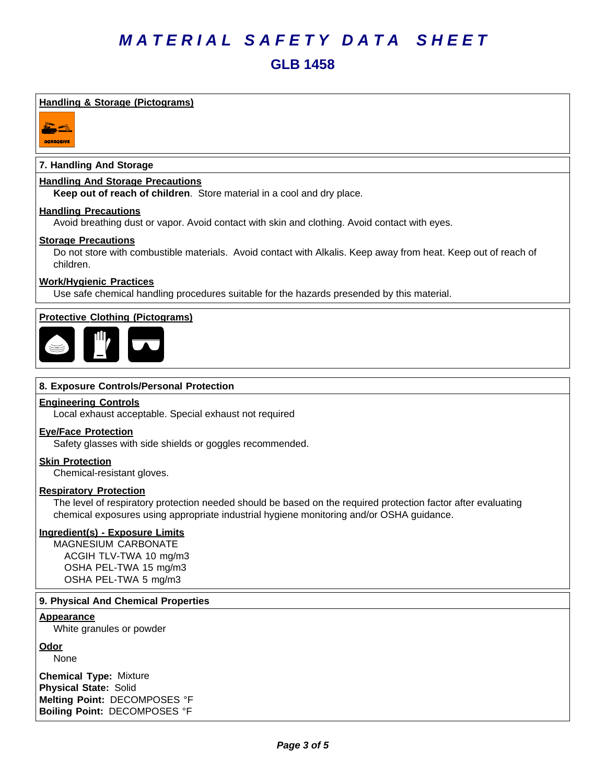#### **Handling & Storage (Pictograms)**



#### **7. Handling And Storage**

#### **Handling And Storage Precautions**

**Keep out of reach of children**. Store material in a cool and dry place.

#### **Handling Precautions**

Avoid breathing dust or vapor. Avoid contact with skin and clothing. Avoid contact with eyes.

#### **Storage Precautions**

Do not store with combustible materials. Avoid contact with Alkalis. Keep away from heat. Keep out of reach of children.

#### **Work/Hygienic Practices**

Use safe chemical handling procedures suitable for the hazards presended by this material.

#### **Protective Clothing (Pictograms)**



#### **8. Exposure Controls/Personal Protection**

#### **Engineering Controls**

Local exhaust acceptable. Special exhaust not required

#### **Eye/Face Protection**

Safety glasses with side shields or goggles recommended.

**Skin Protection**

Chemical-resistant gloves.

#### **Respiratory Protection**

The level of respiratory protection needed should be based on the required protection factor after evaluating chemical exposures using appropriate industrial hygiene monitoring and/or OSHA guidance.

#### **Ingredient(s) - Exposure Limits**

MAGNESIUM CARBONATE ACGIH TLV-TWA 10 mg/m3 OSHA PEL-TWA 15 mg/m3 OSHA PEL-TWA 5 mg/m3

#### **9. Physical And Chemical Properties**

#### **Appearance**

White granules or powder

**Odor**

None

**Chemical Type:** Mixture **Physical State:** Solid **Melting Point:** DECOMPOSES °F **Boiling Point:** DECOMPOSES °F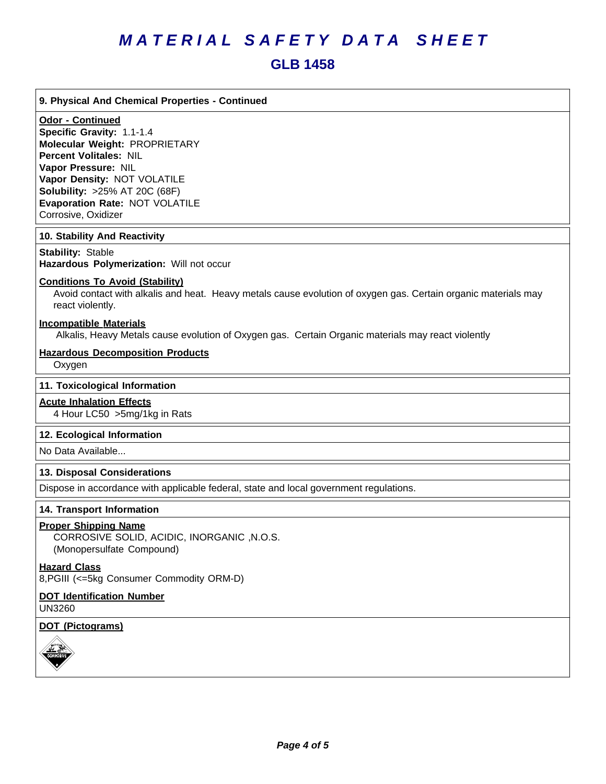### **GLB 1458**

#### **9. Physical And Chemical Properties - Continued**

#### **Odor - Continued**

**Specific Gravity:** 1.1-1.4 **Molecular Weight:** PROPRIETARY **Percent Volitales:** NIL **Vapor Pressure:** NIL **Vapor Density:** NOT VOLATILE **Solubility: >25% AT 20C (68F) Evaporation Rate:** NOT VOLATILE Corrosive, Oxidizer

#### **10. Stability And Reactivity**

**Stability: Stable Hazardous Polymerization: Will not occur** 

#### **Conditions To Avoid (Stability)**

Avoid contact with alkalis and heat. Heavy metals cause evolution of oxygen gas. Certain organic materials may react violently.

#### **Incompatible Materials**

Alkalis, Heavy Metals cause evolution of Oxygen gas. Certain Organic materials may react violently

#### **Hazardous Decomposition Products**

Oxygen

#### **11. Toxicological Information**

#### **Acute Inhalation Effects**

4 Hour LC50 >5mg/1kg in Rats

#### **12. Ecological Information**

No Data Available...

#### **13. Disposal Considerations**

Dispose in accordance with applicable federal, state and local government regulations.

#### **14. Transport Information**

#### **Proper Shipping Name**

CORROSIVE SOLID, ACIDIC, INORGANIC ,N.O.S. (Monopersulfate Compound)

#### **Hazard Class**

8,PGIII (<=5kg Consumer Commodity ORM-D)

#### **DOT Identification Number** UN3260

#### **DOT (Pictograms)**